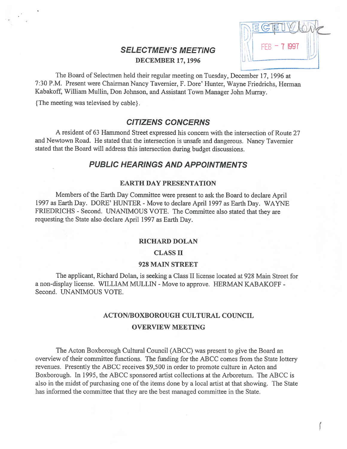# SELECTMEN'S MEETING  $||$  FEB - 7 1997 DECEMBER 17,1996

I

The Board of Selectmen held their regular meeting on Tuesday, December 17, 1996 at 7:30 P.M. Present were Chairman Nancy Tavernier, F. Dore' Hunter, Wayne friedrichs, Herman Kabakoff, William Mullin, Don Johnson, and Assistant Town Manager John Murray.

{The meeting was televised by cable}.

## CITIZENS CONCERNS

A resident of 63 Hammond Street expressed his concern with the intersection of Route 27 and Newtown Road. He stated that the intersection is unsafe and dangerous. Nancy Tavernier stated that the Board will address this intersection during budget discussions.

## PUBLIC HEARINGS AND APPOINTMENTS

## EARTH DAY PRESENTATION

Members of the Earth Day Committee were presen<sup>t</sup> to ask the Board to declare April 1997 as Earth Day. DORE' HUNTER - Move to declare April 1997 as Earth Day. WAYNE FRIEDRICHS - Second. UNANIMOUS VOTE. The Committee also stated that they are requesting the State also declare April 1997 as Earth Day.

## RICHARD DOLAN

### CLASS II

## 92\$ MAIN STREET

The applicant, Richard Dolan, is seeking <sup>a</sup> Class II license located at 928 Main Street for a non-display license. WILLIAM MULLIN - Move to approve. HERMAN KABAKOFF -Second. UNANIMOUS VOTE.

# ACTON/BOXBOROUGH CULTURAL COUNCIL OVERVIEW MEETING

The Acton Boxborough Cultural Council (ABCC) was presen<sup>t</sup> to give the Board an overview of their committee functions. The funding for the ABCC comes from the State lottery revenues. Presently the ABCC receives \$9,500 in order to promote culture in Acton and Boxborough. In 1995, the ABCC sponsored artist collections at the Arboretum. The ABCC is also in the midst of purchasing one of the items done by <sup>a</sup> local artist at that showing. The State has informed the committee that they are the best managed committee in the State.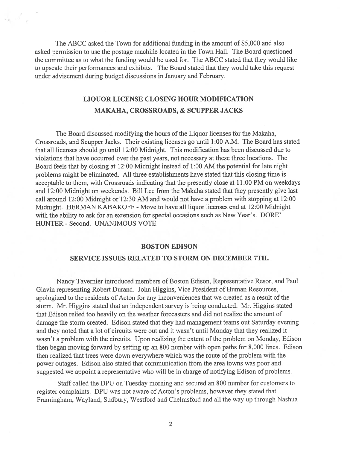The ABCC asked the Town for additional funding in the amount of \$5,000 and also asked permission to use the postage machine located in the Town Hall. The Board questioned the committee as to what the funding would be used for. The ABCC stated that they would like to upscale their performances and exhibits. The Board stated that they would take this reques<sup>t</sup> under advisement during budget discussions in January and February.

# LIQUOR LICENSE CLOSING HOUR MODIFICATION MAKAHA, CROSSROADS, & SCUPPER JACKS

The Board discussed modifying the hours of the Liquor licenses for the Makaha, Crossroads, and Scupper Jacks. Their existing licenses go until 1:00 A.M. The Board has stated that all licenses should go until 12:00 Midnight. This modification has been discussed due to violations that have occurred over the pas<sup>t</sup> years, not necessary at these three locations. The Board feels that by closing at 12:00 Midnight instead of 1:00 AM the potential for late night problems might be eliminated. All three establishments have stated that this closing time is acceptable to them, with Crossroads indicating that the presently close at 11:00 PM on weekdays and 12:00 Midnight on weekends. Bill Lee from the Makaha stated that they presently give last call around 12:00 Midnight or 12:30 AM and would not have <sup>a</sup> problem with stopping at 12:00 Midnight. HERMAN KABAKOFF - Move to have all liquor licenses end at 12:00 Midnight with the ability to ask for an extension for special occasions such as New Year's. DORE' HUNTER - Second. UNANIMOUS VOTE.

## BOSTON EDISON

### SERVICE ISSUES RELATED TO STORM ON DECEMBER 7TH.

Nancy Tavernier introduced members of Boston Edison, Representative Resor, and Paul Glavin representing Robert Durand. John Higgins, Vice President of Human Resources, apologized to the residents of Acton for any inconveniences that we created as <sup>a</sup> result of the storm. Mr. Higgins stated that an independent survey is being conducted. Mr. Higgins stated that Edison relied too heavily on the weather forecasters and did not realize the amount of damage the storm created. Edison stated that they had managemen<sup>t</sup> teams out Saturday evening and they noted that <sup>a</sup> lot of circuits were out and it wasn't until Monday that they realized it wasn't <sup>a</sup> problem with the circuits. Upon realizing the extent of the problem on Monday, Edison then began moving forward by setting up an \$00 number with open paths for \$,000 lines. Edison then realized that trees were down everywhere which was the route of the problem with the power outages. Edison also stated that communication from the area towns was poor and suggested we appoint <sup>a</sup> representative who will be in charge of notifying Edison of problems.

Staff called the DPU on Tuesday morning and secured an \$00 number for customers to register complaints. DPU was not aware of Acton's problems, however they stated that Framingham, Wayland, Sudbury, Westford and Chelmsford and all the way up through Nashua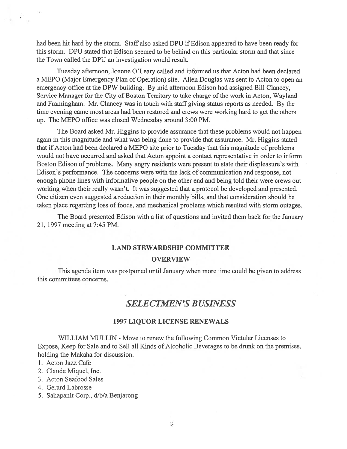had been hit hard by the storm. Staff also asked DPU if Edison appeared to have been ready for this storm. DPU stated that Edison seemed to be behind on this particular storm and that since the Town called the DPU an investigation would result.

Tuesday afternoon, Joanne O'Leary called and informed us that Acton had been declared <sup>a</sup> MEPO (Major Emergency Plan of Operation) site. Allen Douglas was sent to Acton to open an emergency office at the DPW building. By mid afternoon Edison had assigned Bill Clancey, Service Manager for the City of Boston Territory to take charge of the work in Acton, Wayland and framingham. Mr. Clancey was in touch with staff giving status reports as needed. By the time evening came most areas had been restored and crews were working hard to ge<sup>t</sup> the others up. The MEPO office was closed Wednesday around 3:00 PM.

The Board asked Mr. Higgins to provide assurance that these problems would not happen again in this magnitude and what was being done to provide that assurance. Mr. Higgins stated that if Acton had been declared a MEPO site prior to Tuesday that this magnitude of problems would not have occurred and asked that Acton appoint <sup>a</sup> contact representative in order to inform Boston Edison of problems. Many angry residents were presen<sup>t</sup> to state their displeasure's with Edison's performance. The concerns were with the lack of communication and response, not enough phone lines with informative people on the other end and being told their were crews out working when their really wasn't. It was suggested that <sup>a</sup> protocol be developed and presented. One citizen even suggested <sup>a</sup> reduction in their monthly bills, and that consideration should be taken place regarding loss of foods, and mechanical problems which resulted with storm outages.

The Board presented Edison with <sup>a</sup> list of questions and invited them back for the January 21, 1997 meeting at 7:45 PM.

## LAND STEWARDSHIP COMMITTEE

#### **OVERVIEW**

This agenda item was postponed until January when more time could be given to address this committees concerns.

# SELECTMEN'S BUSINESS

## 1997 LIQUOR LICENSE RENEWALS

WILLIAM MULLIN - Move to renew the following Common Victuler Licenses to Expose, Keep for Sale and to Sell all Kinds of Alcoholic Beverages to be drunk on the premises, holding the Makaha for discussion.

- 1. Acton Jazz Cafe
- 2. Claude Miquel, Inc.
- 3. Acton Seafood Sales
- 4. Gerard Labrosse
- 5. Sahapanit Corp., d/b/a Benjarong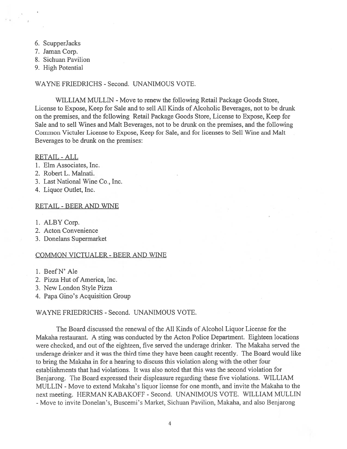- 6. ScupperJacks
- 7. Jaman Corp.
- 8. Sichuan Pavilion
- 9. High Potential

WAYNE FRIEDRICHS - Second. UNANIMOUS VOTE.

WILLIAM MULLIN - Move to renew the following Retail Package Goods Store, License to Expose, Keep for Sale and to sell All Kinds of Alcoholic Beverages, not to be drunk on the premises, and the following Retail Package Goods Store, License to Expose, Keep for Sale and to sell Wines and Malt Beverages, not to be drunk on the premises, and the following Common Victuler License to Expose, Keep for Sale, and for licenses to Sell Wine and Malt Beverages to be drunk on the premises:

RETAIL -ALL

- 1. Elm Associates, Inc.
- 2. Robert L. Malnati.
- 3. Last National Wine Co., Inc.
- 4. Liquor Outlet, Inc.

#### RETAIL -BEER AND WINE

- 1. ALBY Corp.
- 2. Acton Convenience
- 3. Donelans Supermarket

#### COMMON VICTUALER -BEER AND WINE

- 1. BeefN' Ale
- 2. Pizza Hut of America, Inc.
- 3. New London Style Pizza
- 4. Papa Gino's Acquisition Group

## WAYNE FRIEDRICHS - Second. UNANIMOUS VOTE.

The Board discussed the renewal of the All Kinds of Alcohol Liquor License for the Makaha restaurant. A sting was conducted by the Acton Police Department. Eighteen locations were checked, and out of the eighteen, five served the underage drinker. The Makaha served the underage drinker and it was the third time they have been caught recently. The Board would like to bring the Makaha in for <sup>a</sup> hearing to discuss this violation along with the other four establishments that had violations. It was also noted that this was the second violation for Benjarong. The Board expressed their displeasure regarding these five violations. WILLIAM MULLIN - Move to extend Makaha's liquor license for one month, and invite the Makaha to the next meeting. HERMAN KABAKOFF - Second. UNANIMOUS VOTE. WILLIAM MULLIN -Move to invite Donelan's, Buscerni's Market, Sichuan Pavilion, Makaha, and also Benjarong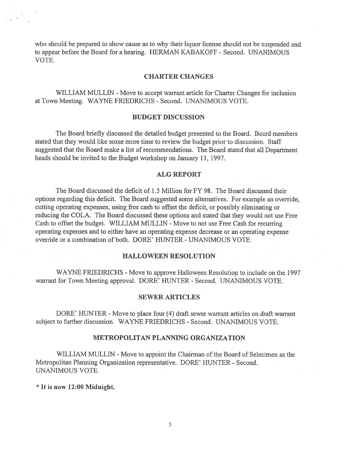who should be prepared to show cause as to why their liquor license should not be suspended and to appear before the Board for <sup>a</sup> hearing. HERMAN KABAKOFF - Second. UNANIMOUS VOTE.

## CHARTER CHANGES

WILLIAM MULLIN - Move to accept warrant article for Charter Changes for inclusion at Town Meeting. WAYNE FRIEDRICHS - Second. UNANIMOUS VOTE.

#### BUDGET DISCUSSION

The Board briefly discussed the detailed budget presented to the Board. Board members stated that they would like some more time to review the budget prior to discussion. Staff suggested that the Board make <sup>a</sup> list of recommendations. The Board stated that all Department heads should be invited to the Budget workshop on January 11, 1997.

## ALG REPORT

The Board discussed the deficit of 1.5 Million for FY 98. The Board discussed their options regarding this deficit. The Board suggested some alternatives. For example an override, cutting operating expenses, using free cash to offset the deficit, or possibly eliminating or reducing the COLA. The Board discussed these options and stated that they would not use Free Cash to offset the budget. WILLIAM MULLIN - Move to not use Free Cash for recurring operating expenses and to either have an operating expense decrease or an operating expense override or a combination of both. DORE' HUNTER - UNANIMOUS VOTE.

## HALLOWEEN RESOLUTION

WAYNE FRIEDRICHS - Move to approve Halloween Resolution to include on the 1997 warrant for Town Meeting approval. DORE' HUNTER - Second. UNANIMOUS VOTE.

## SEWER ARTICLES

DORE' HUNTER - Move to place four (4) draft sewer warrant articles on draft warrant subject to further discussion. WAYNE FRIEDRICHS - Second. UNANIMOUS VOTE.

## METROPOLITAN PLANNING ORGANIZATION

WILLIAM MULLIN - Move to appoint the Chairman of the Board of Selectmen as the Metropolitan Planning Organization representative. DORE' HUNTER - Second. UNANIMOUS VOTE.

 $^{\star}$  It is now 12:00 Midnight.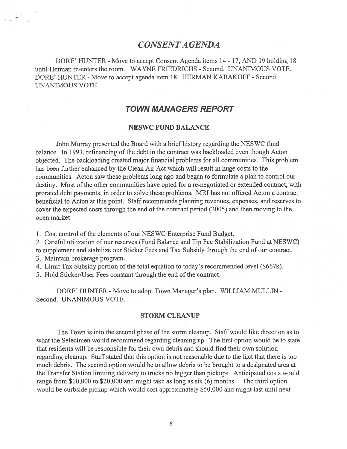## CONSENTA GENDA

DORE' HUNTER - Move to accept Consent Agenda items 14 - 17, AND 19 holding 18 until Herman re-enters the room.. WAYNE FRIEDRICHS - Second. UNANIMOUS VOTE. DORE' HUNTER - Move to accep<sup>t</sup> agenda item 1\$. HERMAN KABAKOFF - Second. UNANIMOUS VOTE.

## TOWN MANAGERS REPORT

## NESWC FUND BALANCE

John Murray presented the Board with <sup>a</sup> brief history regarding the NESWC fund balance. In 1993, refinancing of the debt in the contract was backloaded even though Acton objected. The backloading created major financial problems for all communities. This problem has been further enhanced by the Clean Air Act which will result in huge costs to the communities. Acton saw these problems long ago and began to formulate <sup>a</sup> plan to control our destiny. Most of the other communities have opted for <sup>a</sup> re-negotiated or extended contract, with prorated debt payments, in order to solve these problems. MRI has not offered Acton <sup>a</sup> contract beneficial to Acton at this point. Staff recommends planning revenues, expenses, and reserves to cover the expected costs through the end of the contract period (2005) and then moving to the open market:

1. Cost control of the elements of our NESWC Enterprise Fund Budget.

2. Careful utilization of our reserves (Fund Balance and Tip Fee Stabilization Fund at NESWC)

to supplement and stabilize our Sticker Fees and Tax Subsidy through the end of our contract.

- 3. Maintain brokerage program.
- 4. Limit Tax Subsidy portion of the total equation to today's recommended level (\$667k).

5. Hold Sticker/User Fees constant through the end of the contract.

DORE' HUNTER - Move to adopt Town Manager's plan. WILLIAM MULLIN -Second. UNANIMOUS VOTE.

## STORM CLEANUP

The Town is into the second phase of the storm cleanup. Staff would like direction as to what the Selectmen would recommend regarding cleaning up. The first option would be to state that residents will be responsible for their own debris and should find their own solution regarding cleanup. Staff stated that this option is not reasonable due to the fact that there is too much debris. The second option would be to allow debris to be brought to <sup>a</sup> designated area at the Transfer Station limiting delivery to trucks no bigger than pickups. Anticipated costs would range from \$10,000 to \$20,000 and might take as long as six (6) months. The third option would be curbside pickup which would cost approximately \$50,000 and might last until next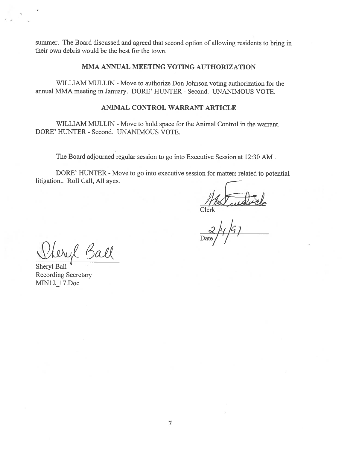summer. The Board discussed and agreed that second option of allowing residents to bring in their own debris would be the best for the town.

## MMA ANNUAL MEETING VOTING AUTHORIZATION

WILLIAM MULLIN - Move to authorize Don Johnson voting authorization for the annual MMA meeting in January. DORE' HUNTER - Second. UNANIMOUS VOTE.

## ANIMAL CONTROL WARRANT ARTICLE

WILLIAM MULLIN - Move to hold space for the Animal Control in the warrant. DORE' HUNTER - Second. UNANIMOUS VOTE.

The Board adjourned regular session to go into Executive Session at 12:30 AM.

DORE' HUNTER - Move to go into executive session for matters related to potential litigation.. Roll Call, All ayes.

Olerk wednes

Date  $/77$ 

Sheryl Ball Recording Secretary MIN12\_17.Doc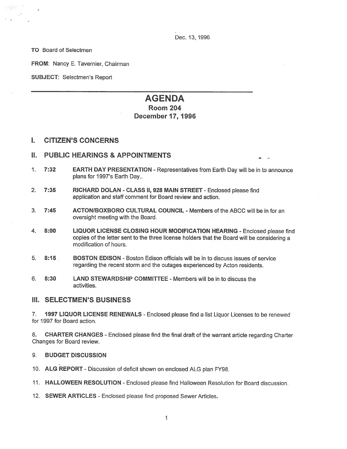Dec. 13, 1996

TO Board of Selectmen

FROM: Nancy E. Tavernier, Chairman

SUBJECT: Selectmen's Report

# AGENDA Room 204

# December 17, 1996

## I. CITIZEN'S CONCERNS

## II. PUBLIC HEARINGS & APPOINTMENTS

- 1. 7:32 EARTH DAY PRESENTATION -Representatives from Earth Day will be in to announce plans for 1997's Earth Day..
- 2. 7:35 RICHARD DOLAN CLASS II, 928 MAIN STREET Enclosed please find application and staff comment for Board review and action.
- 3. 7:45 ACTONIBOXBORO CULTURAL COUNCIL -Members of the ABCC will be in for an oversight meeting with the Board.
- 4. 8:00 LIQUOR LICENSE CLOSING HOUR MODIFICATION HEARING Enclosed please find copies of the letter sent to the three license holders that the Board will be considering <sup>a</sup> modification of hours.
- 5. 8:15 BOSTON EDISON -Boston Edison officials will be in to discuss issues of service regarding the recent storm and the outages experienced by Acton residents.
- 6. 8:30 LAND STEWARDSHIP COMMITTEE -Members will be in to discuss the activities.

## III. SELECTMEN'S BUSINESS

7. **1997 LIQUOR LICENSE RENEWALS** - Enclosed please find a list Liquor Licenses to be renewed for 1997 for Board action.

8. CHARTER CHANGES - Enclosed <sup>p</sup>lease find the final draft of the warrant article regarding Charter Changes for Board review.

## 9. BUDGET DISCUSSION

- 10. ALG REPORT Discussion of deficit shown on enclosed ALG <sup>p</sup>lan FY98.
- 11. HALLOWEEN RESOLUTION Enclosed please find Halloween Resolution for Board discussion.
- 12. SEWER ARTICLES Enclosed please find proposed Sewer Articles.